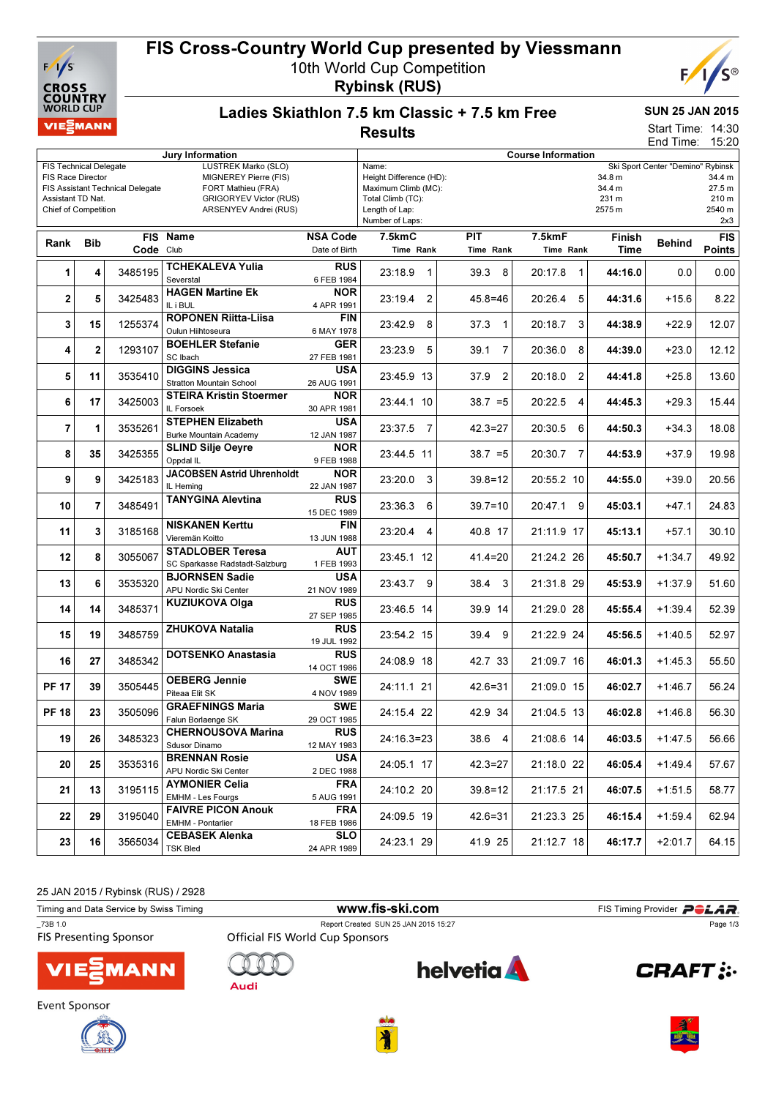

# FIS Cross-Country World Cup presented by Viessmann

10th World Cup Competition Rybinsk (RUS)



#### Ladies Skiathlon 7.5 km Classic + 7.5 km Free **Results**

### SUN 25 JAN 2015

Start Time: 14:30 End Time: 15:20

| Jury Information                                                                                    |                |                                  |                                   |                 | <b>Course Information</b>                        |                        |                           |         |               |               |
|-----------------------------------------------------------------------------------------------------|----------------|----------------------------------|-----------------------------------|-----------------|--------------------------------------------------|------------------------|---------------------------|---------|---------------|---------------|
| LUSTREK Marko (SLO)<br><b>FIS Technical Delegate</b>                                                |                |                                  |                                   |                 | Ski Sport Center "Demino" Rybinsk<br>Name:       |                        |                           |         |               |               |
| FIS Race Director<br>MIGNEREY Pierre (FIS)                                                          |                |                                  |                                   |                 | Height Difference (HD):<br>34.8 m<br>34.4 m      |                        |                           |         |               |               |
|                                                                                                     |                | FIS Assistant Technical Delegate | FORT Mathieu (FRA)                |                 | 34.4 m<br>Maximum Climb (MC):<br>27.5 m<br>231 m |                        |                           |         |               |               |
| <b>GRIGORYEV Victor (RUS)</b><br>Assistant TD Nat.<br>ARSENYEV Andrei (RUS)<br>Chief of Competition |                |                                  |                                   |                 | 210 m<br>Total Climb (TC):                       |                        |                           |         |               |               |
|                                                                                                     |                |                                  |                                   |                 | 2575 m<br>Length of Lap:<br>Number of Laps:      |                        |                           |         |               | 2540 m<br>2x3 |
|                                                                                                     |                |                                  |                                   |                 |                                                  |                        |                           |         |               |               |
| Rank                                                                                                | <b>Bib</b>     |                                  | FIS Name                          | <b>NSA Code</b> | 7.5kmC                                           | <b>PIT</b>             | 7.5kmF                    | Finish  | <b>Behind</b> | <b>FIS</b>    |
|                                                                                                     |                | Code Club                        |                                   | Date of Birth   | Time Rank                                        | Time Rank              | Time Rank                 | Time    |               | <b>Points</b> |
| 1                                                                                                   | 4              | 3485195                          | TCHEKALEVA Yulia                  | <b>RUS</b>      | 23:18.9<br>$\mathbf{1}$                          | 39.3 8                 | 20:17.8<br>$\overline{1}$ | 44:16.0 | 0.0           | 0.00          |
|                                                                                                     |                |                                  | Severstal                         | 6 FEB 1984      |                                                  |                        |                           |         |               |               |
|                                                                                                     |                |                                  | <b>HAGEN Martine Ek</b>           | <b>NOR</b>      | 23:19.4                                          |                        |                           |         |               |               |
| 2                                                                                                   | 5              | 3425483                          | IL i BUL                          | 4 APR 1991      | 2                                                | $45.8 = 46$            | 20:26.4<br>5              | 44:31.6 | $+15.6$       | 8.22          |
|                                                                                                     |                |                                  | <b>ROPONEN Riitta-Liisa</b>       | FIN             |                                                  |                        |                           |         |               |               |
| 3                                                                                                   | 15             | 1255374                          | Oulun Hiihtoseura                 | 6 MAY 1978      | 23:42.9<br>8                                     | 37.3<br>$\overline{1}$ | 20:18.7<br>3              | 44:38.9 | $+22.9$       | 12.07         |
|                                                                                                     |                |                                  | <b>BOEHLER Stefanie</b>           | <b>GER</b>      |                                                  |                        |                           |         |               |               |
| 4                                                                                                   | $\mathbf{2}$   | 1293107                          | SC Ibach                          | 27 FEB 1981     | 23:23.9<br>5                                     | 39.1<br>7              | 20:36.0 8                 | 44:39.0 | $+23.0$       | 12.12         |
|                                                                                                     |                |                                  | <b>DIGGINS Jessica</b>            | <b>USA</b>      |                                                  |                        |                           |         |               |               |
| 5                                                                                                   | 11             | 3535410                          | <b>Stratton Mountain School</b>   | 26 AUG 1991     | 23:45.9 13                                       | 2<br>37.9              | 20:18.0<br>2              | 44:41.8 | $+25.8$       | 13.60         |
|                                                                                                     |                |                                  | <b>STEIRA Kristin Stoermer</b>    | NOR.            |                                                  |                        |                           |         |               |               |
| 6                                                                                                   | 17             | 3425003                          | IL Forsoek                        | 30 APR 1981     | 23:44.1 10                                       | $38.7 = 5$             | 20:22.5<br>4              | 44:45.3 | $+29.3$       | 15.44         |
|                                                                                                     |                |                                  | <b>STEPHEN Elizabeth</b>          | <b>USA</b>      |                                                  |                        |                           |         |               |               |
| $\overline{7}$                                                                                      | 1              | 3535261                          |                                   | 12 JAN 1987     | 23:37.5<br>$\overline{7}$                        | $42.3 = 27$            | 20:30.5<br>6              | 44:50.3 | $+34.3$       | 18.08         |
|                                                                                                     |                |                                  | <b>Burke Mountain Academy</b>     |                 |                                                  |                        |                           |         |               |               |
| 8                                                                                                   | 35             | 3425355                          | <b>SLIND Silje Oeyre</b>          | <b>NOR</b>      | 23:44.5 11                                       | $38.7 = 5$             | 20:30.7<br>7              | 44:53.9 | +37.9         | 19.98         |
|                                                                                                     |                |                                  | Oppdal IL                         | 9 FEB 1988      |                                                  |                        |                           |         |               |               |
| 9                                                                                                   | 9              | 3425183                          | <b>JACOBSEN Astrid Uhrenholdt</b> | NOR.            | 23:20.0<br>3                                     | $39.8 = 12$            | 20:55.2 10                | 44:55.0 | $+39.0$       | 20.56         |
|                                                                                                     |                |                                  | IL Heming                         | 22 JAN 1987     |                                                  |                        |                           |         |               |               |
| 10                                                                                                  | $\overline{7}$ | 3485491                          | <b>TANYGINA Alevtina</b>          | <b>RUS</b>      | 23:36.3<br>6                                     | $39.7 = 10$            | 20:47.1<br>9              | 45:03.1 | $+47.1$       | 24.83         |
|                                                                                                     |                |                                  |                                   | 15 DEC 1989     |                                                  |                        |                           |         |               |               |
| 11                                                                                                  | 3              | 3185168                          | <b>NISKANEN Kerttu</b>            | <b>FIN</b>      | 23:20.4<br>4                                     | 40.8 17                | 21:11.9 17                | 45:13.1 | $+57.1$       | 30.10         |
|                                                                                                     |                |                                  | Vieremän Koitto                   | 13 JUN 1988     |                                                  |                        |                           |         |               |               |
| 12                                                                                                  | 8              | 3055067                          | <b>STADLOBER Teresa</b>           | <b>AUT</b>      | 23:45.1 12                                       | 41.4=20                | 21:24.2 26                | 45:50.7 | $+1:34.7$     | 49.92         |
|                                                                                                     |                |                                  | SC Sparkasse Radstadt-Salzburg    | 1 FEB 1993      |                                                  |                        |                           |         |               |               |
| 13                                                                                                  | 6              | 3535320                          | <b>BJORNSEN Sadie</b>             | <b>USA</b>      | 23:43.7 9                                        | 38.4<br>3              | 21:31.8 29                | 45:53.9 | $+1:37.9$     | 51.60         |
|                                                                                                     |                |                                  | APU Nordic Ski Center             | 21 NOV 1989     |                                                  |                        |                           |         |               |               |
| 14                                                                                                  | 14             | 3485371                          | <b>KUZIUKOVA Olga</b>             | <b>RUS</b>      | 23:46.5 14                                       | 39.9 14                | 21:29.0 28                | 45:55.4 | $+1:39.4$     | 52.39         |
|                                                                                                     |                |                                  |                                   | 27 SEP 1985     |                                                  |                        |                           |         |               |               |
| 15                                                                                                  | 19             | 3485759                          | <b>ZHUKOVA Natalia</b>            | <b>RUS</b>      | 23:54.2 15                                       | 39.4<br>9              | 21:22.9 24                | 45:56.5 | $+1:40.5$     | 52.97         |
|                                                                                                     |                |                                  |                                   | 19 JUL 1992     |                                                  |                        |                           |         |               |               |
| 16                                                                                                  | 27             | 3485342                          | <b>DOTSENKO Anastasia</b>         | <b>RUS</b>      | 24:08.9 18                                       | 42.7 33                | 21:09.7 16                | 46:01.3 | $+1:45.3$     | 55.50         |
|                                                                                                     |                |                                  |                                   | 14 OCT 1986     |                                                  |                        |                           |         |               |               |
| <b>PF 17</b>                                                                                        | 39             | 3505445                          | <b>OEBERG Jennie</b>              | <b>SWE</b>      | 24:11.1 21                                       | $42.6 = 31$            | 21:09.0 15                | 46:02.7 | $+1:46.7$     | 56.24         |
|                                                                                                     |                |                                  | Piteaa Elit SK                    | 4 NOV 1989      |                                                  |                        |                           |         |               |               |
| <b>PF 18</b>                                                                                        | 23             | 3505096                          | <b>GRAEFNINGS Maria</b>           | <b>SWE</b>      | 24:15.4 22                                       | 42.9 34                | 21:04.5 13                | 46:02.8 | $+1:46.8$     | 56.30         |
|                                                                                                     |                |                                  | Falun Borlaenge SK                | 29 OCT 1985     |                                                  |                        |                           |         |               |               |
| 19                                                                                                  | 26             | 3485323                          | <b>CHERNOUSOVA Marina</b>         | <b>RUS</b>      | 24:16.3=23                                       | 38.6 4                 | $21:08.6$ 14              | 46:03.5 | $+1:47.5$     | 56.66         |
|                                                                                                     |                |                                  | Sdusor Dinamo                     | 12 MAY 1983     |                                                  |                        |                           |         |               |               |
| 20                                                                                                  | 25             | 3535316                          | <b>BRENNAN Rosie</b>              | <b>USA</b>      | 24:05.1 17                                       | $42.3 = 27$            |                           | 46:05.4 | $+1:49.4$     | 57.67         |
|                                                                                                     |                |                                  | APU Nordic Ski Center             | 2 DEC 1988      |                                                  |                        | 21:18.0 22                |         |               |               |
|                                                                                                     |                | 3195115                          | <b>AYMONIER Celia</b>             | FRA             |                                                  | $39.8 = 12$            | 21:17.5 21                |         | $+1:51.5$     |               |
| 21                                                                                                  | 13             |                                  | EMHM - Les Fourgs                 | 5 AUG 1991      | 24:10.2 20                                       |                        |                           | 46:07.5 |               | 58.77         |
|                                                                                                     |                |                                  | <b>FAIVRE PICON Anouk</b>         | <b>FRA</b>      |                                                  |                        |                           |         |               |               |
| 22                                                                                                  | 29             | 3195040                          | EMHM - Pontarlier                 | 18 FEB 1986     | 24:09.5 19                                       | $42.6 = 31$            | 21:23.3 25                | 46:15.4 | $+1:59.4$     | 62.94         |
|                                                                                                     |                |                                  | <b>CEBASEK Alenka</b>             | <b>SLO</b>      |                                                  |                        |                           |         |               |               |
| 23                                                                                                  | 16             | 3565034                          | <b>TSK Bled</b>                   | 24 APR 1989     | 24:23.1 29                                       | 41.9 25                | 21:12.7 18                | 46:17.7 | $+2:01.7$     | 64.15         |
|                                                                                                     |                |                                  |                                   |                 |                                                  |                        |                           |         |               |               |

25 JAN 2015 / Rybinsk (RUS) / 2928

| Timing and Data Service by Swiss Timing      | www.fis-ski.com                                                                | FIS Timing Provider <b>POLAR</b> |               |
|----------------------------------------------|--------------------------------------------------------------------------------|----------------------------------|---------------|
| $\_73B$ 1.0<br><b>FIS Presenting Sponsor</b> | Report Created SUN 25 JAN 2015 15:27<br><b>Official FIS World Cup Sponsors</b> |                                  | Page 1/3      |
| <b>VIESMANN</b>                              | Audi                                                                           | <b>helvetia</b>                  | <b>CRAFT:</b> |







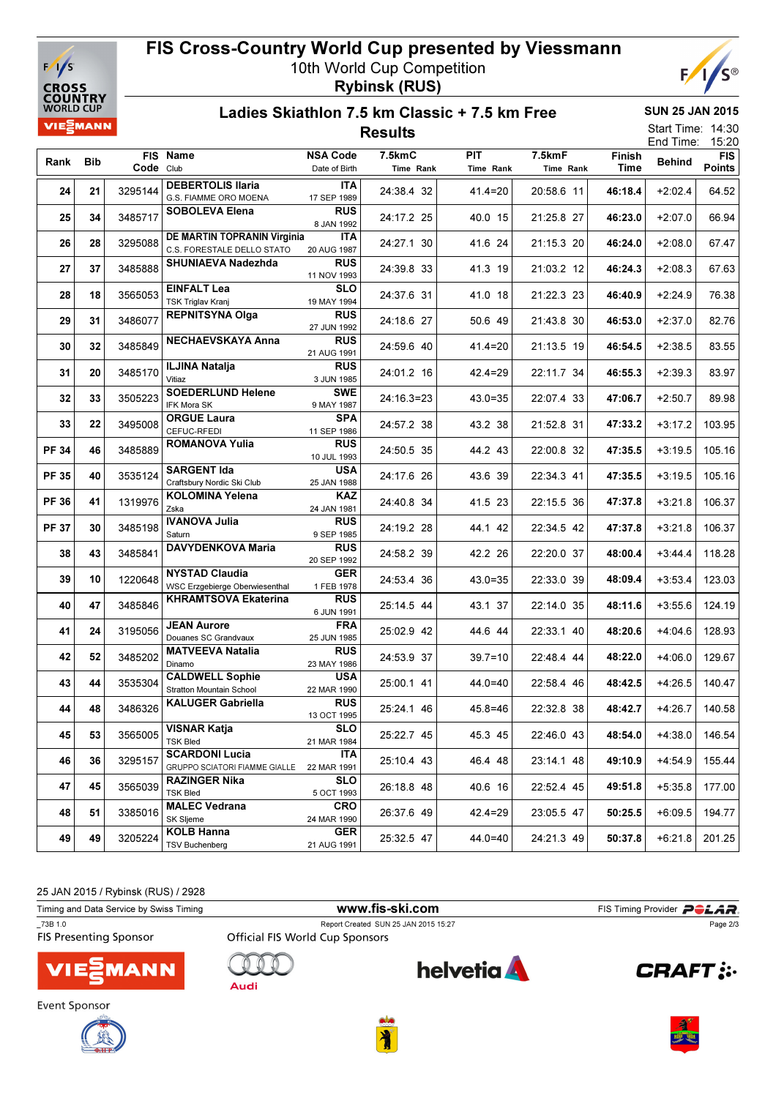

### FIS Cross-Country World Cup presented by Viessmann 10th World Cup Competition

Rybinsk (RUS)



#### Ladies Skiathlon 7.5 km Classic + 7.5 km Free Results

SUN 25 JAN 2015

14:30 15:20 Start Time: End Time:

| Rank         | <b>Bib</b> |           | FIS Name                                                  | <b>NSA Code</b>           | 7.5kmC       | <b>PIT</b>  | 7.5kmF<br>Time Rank | Finish  | LIIU TIITIC.<br><b>Behind</b> | 10.ZU<br><b>FIS</b> |
|--------------|------------|-----------|-----------------------------------------------------------|---------------------------|--------------|-------------|---------------------|---------|-------------------------------|---------------------|
|              |            | Code Club |                                                           | Date of Birth             | Time Rank    | Time Rank   |                     | Time    |                               | <b>Points</b>       |
| 24           | 21         | 3295144   | <b>DEBERTOLIS Ilaria</b><br>G.S. FIAMME ORO MOENA         | <b>ITA</b><br>17 SEP 1989 | 24:38.4 32   | $41.4 = 20$ | 20:58.6 11          | 46:18.4 | $+2:02.4$                     | 64.52               |
| 25           | 34         | 3485717   | <b>SOBOLEVA Elena</b>                                     | <b>RUS</b><br>8 JAN 1992  | 24:17.2 25   | 40.0 15     | 21:25.8 27          | 46:23.0 | $+2:07.0$                     | 66.94               |
| 26           | 28         | 3295088   | DE MARTIN TOPRANIN Virginia<br>C.S. FORESTALE DELLO STATO | <b>ITA</b><br>20 AUG 1987 | 24:27.1 30   | 41.6 24     | 21:15.3 20          | 46:24.0 | $+2:08.0$                     | 67.47               |
| 27           | 37         | 3485888   | SHUNIAEVA Nadezhda                                        | RUS<br>11 NOV 1993        | 24:39.8 33   | 41.3 19     | 21:03.2 12          | 46:24.3 | $+2:08.3$                     | 67.63               |
| 28           | 18         | 3565053   | <b>EINFALT Lea</b><br><b>TSK Triglav Kranj</b>            | <b>SLO</b><br>19 MAY 1994 | 24:37.6 31   | 41.0 18     | 21:22.3 23          | 46:40.9 | $+2:24.9$                     | 76.38               |
| 29           | 31         | 3486077   | <b>REPNITSYNA Olga</b>                                    | <b>RUS</b><br>27 JUN 1992 | 24:18.6 27   | 50.6 49     | 21:43.8 30          | 46:53.0 | $+2:37.0$                     | 82.76               |
| 30           | 32         | 3485849   | <b>NECHAEVSKAYA Anna</b>                                  | <b>RUS</b><br>21 AUG 1991 | 24:59.6 40   | $41.4 = 20$ | 21:13.5 19          | 46:54.5 | $+2:38.5$                     | 83.55               |
| 31           | 20         | 3485170   | <b>ILJINA Natalja</b><br>Vitiaz                           | RUS<br>3 JUN 1985         | 24:01.2 16   | $42.4 = 29$ | 22:11.7 34          | 46:55.3 | $+2:39.3$                     | 83.97               |
| 32           | 33         | 3505223   | <b>SOEDERLUND Helene</b><br>IFK Mora SK                   | <b>SWE</b><br>9 MAY 1987  | $24:16.3=23$ | $43.0 = 35$ | 22:07.4 33          | 47:06.7 | $+2:50.7$                     | 89.98               |
| 33           | 22         | 3495008   | <b>ORGUE Laura</b><br>CEFUC-RFEDI                         | <b>SPA</b><br>11 SEP 1986 | 24:57.2 38   | 43.2 38     | 21:52.8 31          | 47:33.2 | $+3:17.2$                     | 103.95              |
| <b>PF 34</b> | 46         | 3485889   | <b>ROMANOVA Yulia</b>                                     | <b>RUS</b><br>10 JUL 1993 | 24:50.5 35   | 44.2 43     | 22:00.8 32          | 47:35.5 | $+3:19.5$                     | 105.16              |
| <b>PF 35</b> | 40         | 3535124   | <b>SARGENT Ida</b><br>Craftsbury Nordic Ski Club          | <b>USA</b><br>25 JAN 1988 | 24:17.6 26   | 43.6 39     | 22:34.3 41          | 47:35.5 | $+3:19.5$                     | 105.16              |
| <b>PF 36</b> | 41         | 1319976   | <b>KOLOMINA Yelena</b><br>Zska                            | KAZ<br>24 JAN 1981        | 24:40.8 34   | 41.5 23     | 22:15.5 36          | 47:37.8 | $+3:21.8$                     | 106.37              |
| <b>PF 37</b> | 30         | 3485198   | <b>IVANOVA Julia</b><br>Saturn                            | RUS<br>9 SEP 1985         | 24:19.2 28   | 44.1 42     | 22:34.5 42          | 47:37.8 | $+3:21.8$                     | 106.37              |
| 38           | 43         | 3485841   | DAVYDENKOVA Maria                                         | <b>RUS</b><br>20 SEP 1992 | 24:58.2 39   | 42.2 26     | 22:20.0 37          | 48:00.4 | $+3:44.4$                     | 118.28              |
| 39           | 10         | 1220648   | <b>NYSTAD Claudia</b><br>WSC Erzgebierge Oberwiesenthal   | <b>GER</b><br>1 FEB 1978  | 24:53.4 36   | $43.0 = 35$ | 22:33.0 39          | 48:09.4 | $+3:53.4$                     | 123.03              |
| 40           | 47         | 3485846   | <b>KHRAMTSOVA Ekaterina</b>                               | RUS<br>6 JUN 1991         | 25:14.5 44   | 43.1 37     | 22:14.0 35          | 48:11.6 | $+3:55.6$                     | 124.19              |
| 41           | 24         | 3195056   | <b>JEAN Aurore</b><br>Douanes SC Grandvaux                | <b>FRA</b><br>25 JUN 1985 | 25:02.9 42   | 44.6 44     | 22:33.1 40          | 48:20.6 | $+4:04.6$                     | 128.93              |
| 42           | 52         | 3485202   | <b>MATVEEVA Natalia</b><br>Dinamo                         | RUS<br>23 MAY 1986        | 24:53.9 37   | $39.7 = 10$ | 22:48.4 44          | 48:22.0 | $+4:06.0$                     | 129.67              |
| 43           | 44         | 3535304   | <b>CALDWELL Sophie</b><br><b>Stratton Mountain School</b> | <b>USA</b><br>22 MAR 1990 | 25:00.1 41   | 44.0=40     | 22:58.4 46          | 48:42.5 | $+4:26.5$                     | 140.47              |
| 44           | 48         | 3486326   | <b>KALUGER Gabriella</b>                                  | <b>RUS</b><br>13 OCT 1995 | 25:24.1 46   | 45.8=46     | 22:32.8 38          | 48:42.7 | $+4:26.7$                     | 140.58              |
| 45           | 53         | 3565005   | <b>VISNAR Katja</b><br><b>TSK Bled</b>                    | <b>SLO</b><br>21 MAR 1984 | 25:22.7 45   | 45.3 45     | 22:46.0 43          | 48:54.0 | $+4:38.0$                     | 146.54              |
| 46           | 36         | 3295157   | <b>SCARDONI Lucia</b><br>GRUPPO SCIATORI FIAMME GIALLE    | <b>ITA</b><br>22 MAR 1991 | 25:10.4 43   | 46.4 48     | 23:14.1 48          | 49:10.9 | $+4:54.9$                     | 155.44              |
| 47           | 45         | 3565039   | <b>RAZINGER Nika</b><br><b>TSK Bled</b>                   | <b>SLO</b><br>5 OCT 1993  | 26:18.8 48   | 40.6 16     | 22:52.4 45          | 49:51.8 | $+5:35.8$                     | 177.00              |
| 48           | 51         | 3385016   | <b>MALEC Vedrana</b><br>SK Sljeme                         | <b>CRO</b><br>24 MAR 1990 | 26:37.6 49   | $42.4 = 29$ | 23:05.5 47          | 50:25.5 | $+6:09.5$                     | 194.77              |
| 49           | 49         | 3205224   | <b>KOLB Hanna</b><br><b>TSV Buchenberg</b>                | <b>GER</b><br>21 AUG 1991 | 25:32.5 47   | 44.0=40     | 24:21.3 49          | 50:37.8 | $+6:21.8$                     | 201.25              |

25 JAN 2015 / Rybinsk (RUS) / 2928

Timing and Data Service by Swiss Timing **Example 2018** WWW.fis-ski.com FIS Timing Provider PCLAR. \_73B 1.0 Report Created SUN 25 JAN 2015 15:27 Page 2/3**helvetia**  $\bigcap$ **CRAFT: MANN** Audi